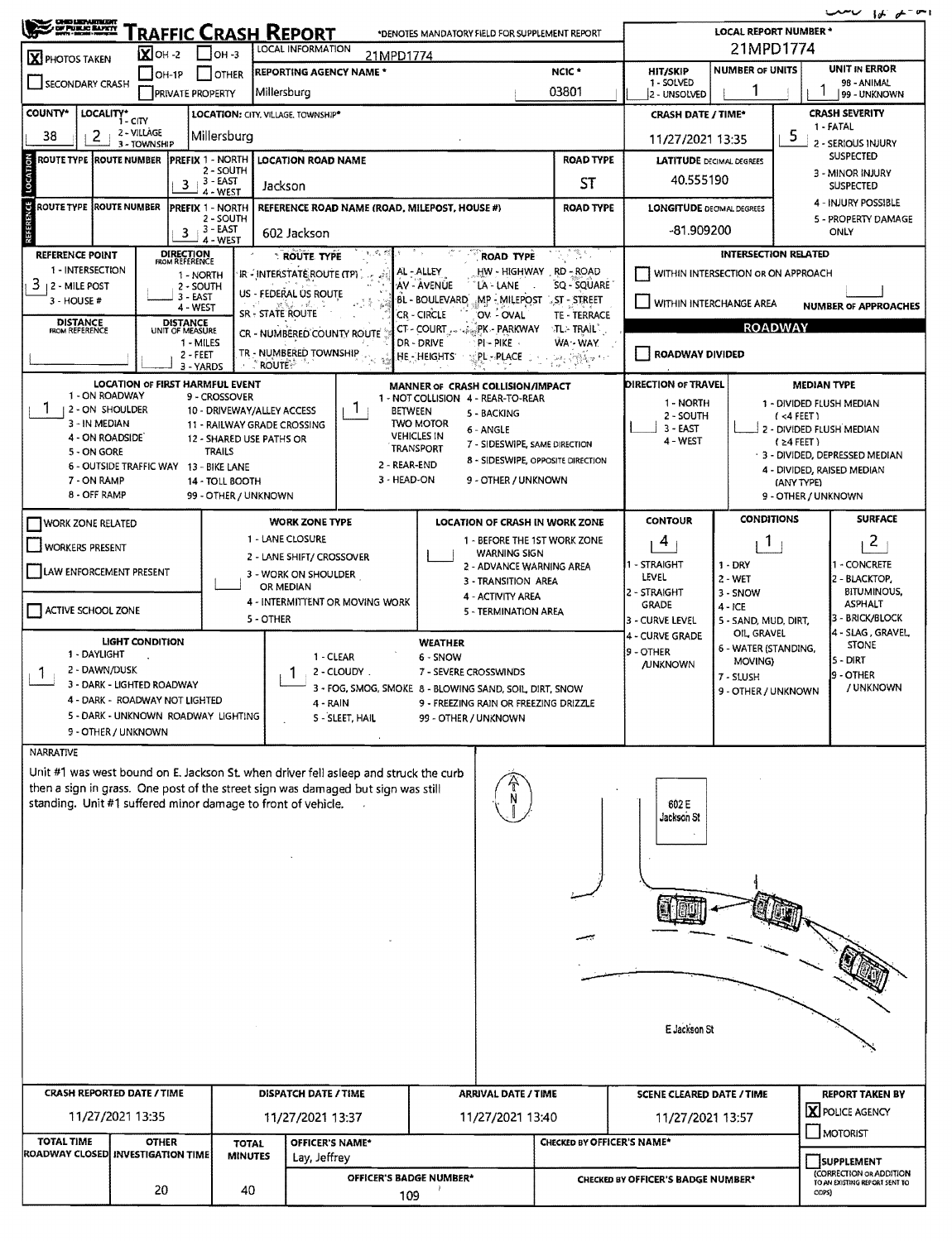$20 - 16$ 

| <b>CHE LEMITERIT</b><br>A DE PUBLIC BANKY<br><u>Traffic Crash Report</u><br>*DENOTES MANDATORY FIELD FOR SUPPLEMENT REPORT                                               |                                                               |                                                           |                                                                |                                        |                                                                                            |                                                                |                                                                                                           | $\cdots$<br><b>LOCAL REPORT NUMBER *</b> |                                          |  |  |
|--------------------------------------------------------------------------------------------------------------------------------------------------------------------------|---------------------------------------------------------------|-----------------------------------------------------------|----------------------------------------------------------------|----------------------------------------|--------------------------------------------------------------------------------------------|----------------------------------------------------------------|-----------------------------------------------------------------------------------------------------------|------------------------------------------|------------------------------------------|--|--|
| <b>X</b> PHOTOS TAKEN                                                                                                                                                    | <b>LOCAL INFORMATION</b><br>$X$ OH -2<br>I Іон-з<br>21MPD1774 |                                                           |                                                                |                                        |                                                                                            |                                                                | 21MPD1774<br><b>NUMBER OF UNITS</b>                                                                       |                                          |                                          |  |  |
| $\Box$ OH-1P<br><b>OTHER</b><br>SECONDARY CRASH                                                                                                                          |                                                               |                                                           | <b>REPORTING AGENCY NAME *</b>                                 |                                        | NCIC <sup>+</sup>                                                                          | HIT/SKIP<br>1 - SOLVED                                         | <b>UNIT IN ERROR</b><br>98 - ANIMAL                                                                       |                                          |                                          |  |  |
|                                                                                                                                                                          | <b>PRIVATE PROPERTY</b>                                       | Millersburg                                               |                                                                |                                        |                                                                                            | 03801                                                          | 2 - UNSOLVED                                                                                              |                                          | 99 - UNKNOWN                             |  |  |
| <b>COUNTY*</b>                                                                                                                                                           | LOCALITY* CITY                                                | LOCATION: CITY. VILLAGE. TOWNSHIP*                        |                                                                |                                        |                                                                                            |                                                                | <b>CRASH DATE / TIME*</b>                                                                                 | <b>CRASH SEVERITY</b><br>1 - FATAL       |                                          |  |  |
| 38<br>2                                                                                                                                                                  | 2 - VILLAGE<br>3 - TOWNSHIP                                   | Millersburg                                               |                                                                |                                        |                                                                                            | 5<br>11/27/2021 13:35<br>2 - SERIOUS INJURY                    |                                                                                                           |                                          |                                          |  |  |
| ROUTE TYPE  ROUTE NUMBER                                                                                                                                                 | <b>PREFIX 1 NORTH</b>                                         | 2 - SOUTH                                                 | <b>LOCATION ROAD NAME</b>                                      |                                        |                                                                                            | <b>ROAD TYPE</b>                                               |                                                                                                           | <b>LATITUDE</b> DECIMAL DEGREES          | <b>SUSPECTED</b>                         |  |  |
| LOCATI                                                                                                                                                                   | 3                                                             | $3 - EAST$<br>$4 - WEST$                                  | Jackson                                                        |                                        |                                                                                            | <b>ST</b>                                                      | 40.555190                                                                                                 |                                          | 3 - MINOR INJURY<br><b>SUSPECTED</b>     |  |  |
| <b>ROUTE TYPE ROUTE NUMBER</b>                                                                                                                                           | <b>PREFIX 1 - NORTH</b>                                       |                                                           | REFERENCE ROAD NAME (ROAD, MILEPOST, HOUSE #)                  |                                        |                                                                                            | <b>ROAD TYPE</b>                                               | <b>LONGITUDE DECIMAL DEGREES</b>                                                                          | 4 - INJURY POSSIBLE                      |                                          |  |  |
| REFERENCE                                                                                                                                                                | 3                                                             | 2 - SOUTH<br>$3 - EAST$                                   | 602 Jackson                                                    |                                        |                                                                                            |                                                                | $-81.909200$                                                                                              | 5 - PROPERTY DAMAGE<br><b>ONLY</b>       |                                          |  |  |
| REFERENCE POINT                                                                                                                                                          |                                                               | 4 - WEST                                                  | <b>ROUTE TYPE</b>                                              |                                        | <b>ROAD TYPE</b>                                                                           | 인증 힘이                                                          |                                                                                                           | <b>INTERSECTION RELATED</b>              |                                          |  |  |
| 1 - INTERSECTION                                                                                                                                                         | <b>DIRECTION</b><br>FROM REFERENCE<br>1 - NORTH               |                                                           | `IR - INTERSTATÉ ROUTE (TP) ,                                  | AL - ALLEY                             | HW - HIGHWAY RD - ROAD                                                                     |                                                                |                                                                                                           | WITHIN INTERSECTION OR ON APPROACH       |                                          |  |  |
| 3<br>  2 - MILE POST                                                                                                                                                     | 2 - SOUTH<br>$3 - EAST$                                       |                                                           | US - FEDERAL US ROUTE                                          | AV - AVENUE<br>BL - BOULEVARD          | LA - LANE<br>MP-MILEPOST .ST - STREET                                                      | SQ - SQUARE                                                    |                                                                                                           |                                          |                                          |  |  |
| 3 - HOUSE #                                                                                                                                                              | 4 - WEST                                                      | <b>SR - STATE ROUTE</b>                                   |                                                                | CR - CIRCLE                            | OV - OVAL                                                                                  | TE - TERRACE                                                   | WITHIN INTERCHANGE AREA<br><b>NUMBER OF APPROACHES</b>                                                    |                                          |                                          |  |  |
| <b>DISTANCE</b><br>FROM REFERENCE                                                                                                                                        | DISTANCE<br>UNIT OF MEASURE<br>1 - MILES                      |                                                           | CR - NUMBERED COUNTY ROUTE                                     | CT - COURT                             | PK - PARKWAY<br>$PI - PIKE$                                                                | $\mathbb{E}[\mathsf{L}\mathsf{L}\mathsf{TRAIL}]$ ,<br>WA - WAY | <b>ROADWAY</b>                                                                                            |                                          |                                          |  |  |
|                                                                                                                                                                          | 2 - FEET                                                      |                                                           | TR - NUMBERED TOWNSHIP                                         | DR - DRIVE<br>HE-HEIGHTS               | PL - PLACE                                                                                 | : ا <del>لمار</del> المراجع المريضة المستر                     | <b>ROADWAY DIVIDED</b>                                                                                    |                                          |                                          |  |  |
|                                                                                                                                                                          | 3 - YARDS<br><b>LOCATION OF FIRST HARMFUL EVENT</b>           | $\sqrt[3]{\text{ROUTE}}$                                  |                                                                |                                        |                                                                                            |                                                                | DIRECTION OF TRAVEL                                                                                       |                                          | <b>MEDIAN TYPE</b>                       |  |  |
| 1 - ON ROADWAY                                                                                                                                                           |                                                               | 9 - CROSSOVER                                             |                                                                |                                        | MANNER OF CRASH COLLISION/IMPACT<br>1 - NOT COLLISION 4 - REAR-TO-REAR                     |                                                                | 1 - NORTH                                                                                                 |                                          | 1 - DIVIDED FLUSH MEDIAN                 |  |  |
| 2 - ON SHOULDER<br>3 - IN MEDIAN                                                                                                                                         |                                                               | 10 - DRIVEWAY/ALLEY ACCESS<br>11 - RAILWAY GRADE CROSSING | 1<br><b>BETWEEN</b>                                            | <b>TWO MOTOR</b>                       | 5 - BACKING                                                                                |                                                                | 2 - SOUTH                                                                                                 |                                          | $(4$ FEET)                               |  |  |
| 4 - ON ROADSIDE                                                                                                                                                          |                                                               | 12 - SHARED USE PATHS OR                                  |                                                                | <b>VEHICLES IN</b><br><b>TRANSPORT</b> | 6 - ANGLE<br>7 - SIDESWIPE, SAME DIRECTION                                                 |                                                                | 3 - EAST<br>4 - WEST                                                                                      |                                          | 2 - DIVIDED FLUSH MEDIAN<br>$(24$ FEET)  |  |  |
| 5 - ON GORE                                                                                                                                                              | 6 - OUTSIDE TRAFFIC WAY 13 - BIKE LANE                        | <b>TRAILS</b>                                             | 2 - REAR-END                                                   |                                        | 8 - SIDESWIPE, OPPOSITE DIRECTION                                                          |                                                                |                                                                                                           |                                          | 3 - DIVIDED, DEPRESSED MEDIAN            |  |  |
| 7 - ON RAMP                                                                                                                                                              |                                                               | 14 - TOLL BOOTH                                           | 3 - HEAD-ON                                                    |                                        | 9 - OTHER / UNKNOWN                                                                        |                                                                |                                                                                                           |                                          | 4 - DIVIDED, RAISED MEDIAN<br>(ANY TYPE) |  |  |
| 8 - OFF RAMP                                                                                                                                                             |                                                               | 99 - OTHER / UNKNOWN                                      |                                                                |                                        |                                                                                            |                                                                |                                                                                                           |                                          | 9 - OTHER / UNKNOWN                      |  |  |
| <b>WORK ZONE RELATED</b>                                                                                                                                                 |                                                               |                                                           | <b>WORK ZONE TYPE</b>                                          |                                        | <b>LOCATION OF CRASH IN WORK ZONE</b>                                                      |                                                                | <b>CONTOUR</b>                                                                                            | <b>CONDITIONS</b>                        | <b>SURFACE</b>                           |  |  |
| VORKERS PRESENT                                                                                                                                                          |                                                               |                                                           | 1 - LANE CLOSURE                                               |                                        | 1 - BEFORE THE 1ST WORK ZONE<br><b>WARNING SIGN</b>                                        |                                                                | 4                                                                                                         | $\mathbf{1}$                             | $\overline{2}$                           |  |  |
| LAW ENFORCEMENT PRESENT                                                                                                                                                  |                                                               |                                                           | 2 - LANE SHIFT/ CROSSOVER<br>3 - WORK ON SHOULDER              |                                        | 2 - ADVANCE WARNING AREA                                                                   |                                                                | 1 - STRAIGHT                                                                                              | $1 - DRY$                                | - CONCRETE                               |  |  |
|                                                                                                                                                                          |                                                               |                                                           | OR MEDIAN                                                      |                                        | LEVEL<br>$2 - WET$<br>3 - TRANSITION AREA<br>2 - STRAIGHT<br>3 - SNOW<br>4 - ACTIVITY AREA |                                                                |                                                                                                           |                                          | - BLACKTOP,<br><b>BITUMINOUS.</b>        |  |  |
| ACTIVE SCHOOL ZONE                                                                                                                                                       |                                                               |                                                           | 4 - INTERMITTENT OR MOVING WORK                                |                                        | 5 - TERMINATION AREA                                                                       |                                                                | <b>ASPHALT</b><br><b>GRADE</b><br>$4 - KCE$<br>3 - BRICK/BLOCK<br>3 - Curve Level<br>5 - SAND, MUD, DIRT, |                                          |                                          |  |  |
|                                                                                                                                                                          |                                                               | 5 - OTHER                                                 |                                                                |                                        |                                                                                            |                                                                | 4 - CURVE GRADE                                                                                           | OIL GRAVEL                               | 4 - SLAG , GRAVEL,                       |  |  |
| 1 - DAYLIGHT                                                                                                                                                             | <b>LIGHT CONDITION</b>                                        |                                                           | 1 - CLEAR                                                      | <b>WEATHER</b><br>6 - SNOW             |                                                                                            |                                                                | 9 - OTHER                                                                                                 | 6 - WATER (STANDING,<br>MOVING)          | <b>STONE</b><br>$5 - DIRT$               |  |  |
| 2 - DAWN/DUSK                                                                                                                                                            | 7 - SEVERE CROSSWINDS                                         |                                                           |                                                                | <b>JUNKNOWN</b>                        | 7 - SLUSH                                                                                  | 9 - OTHER                                                      |                                                                                                           |                                          |                                          |  |  |
|                                                                                                                                                                          | 3 - DARK - LIGHTED ROADWAY<br>4 - DARK - ROADWAY NOT LIGHTED  |                                                           | 3 - FOG, SMOG, SMOKE 8 - BLOWING SAND, SOIL, DIRT, SNOW        |                                        |                                                                                            |                                                                |                                                                                                           | 9 - OTHER / UNKNOWN                      | / UNKNOWN                                |  |  |
|                                                                                                                                                                          | 5 - DARK - UNKNOWN ROADWAY LIGHTING                           |                                                           | 4 - RAIN<br><b>S - SLEET, HAIL</b>                             | 99 - OTHER / UNKNOWN                   | 9 - FREEZING RAIN OR FREEZING DRIZZLE                                                      |                                                                |                                                                                                           |                                          |                                          |  |  |
|                                                                                                                                                                          | 9 - OTHER / UNKNOWN                                           |                                                           |                                                                |                                        |                                                                                            |                                                                |                                                                                                           |                                          |                                          |  |  |
| <b>NARRATIVE</b>                                                                                                                                                         |                                                               |                                                           |                                                                |                                        |                                                                                            |                                                                |                                                                                                           |                                          |                                          |  |  |
| Unit #1 was west bound on E. Jackson St. when driver fell asleep and struck the curb<br>then a sign in grass. One post of the street sign was damaged but sign was still |                                                               |                                                           |                                                                |                                        |                                                                                            |                                                                |                                                                                                           |                                          |                                          |  |  |
|                                                                                                                                                                          | standing. Unit #1 suffered minor damage to front of vehicle.  |                                                           |                                                                |                                        |                                                                                            |                                                                | 602 E                                                                                                     |                                          |                                          |  |  |
|                                                                                                                                                                          |                                                               |                                                           |                                                                |                                        |                                                                                            |                                                                | Jackson St                                                                                                |                                          |                                          |  |  |
|                                                                                                                                                                          |                                                               |                                                           |                                                                |                                        |                                                                                            |                                                                |                                                                                                           |                                          |                                          |  |  |
|                                                                                                                                                                          |                                                               |                                                           |                                                                |                                        |                                                                                            |                                                                |                                                                                                           |                                          |                                          |  |  |
|                                                                                                                                                                          |                                                               |                                                           |                                                                |                                        |                                                                                            |                                                                |                                                                                                           |                                          |                                          |  |  |
|                                                                                                                                                                          |                                                               |                                                           |                                                                |                                        |                                                                                            |                                                                |                                                                                                           |                                          |                                          |  |  |
|                                                                                                                                                                          |                                                               |                                                           |                                                                |                                        |                                                                                            |                                                                |                                                                                                           |                                          |                                          |  |  |
|                                                                                                                                                                          |                                                               |                                                           |                                                                |                                        |                                                                                            |                                                                |                                                                                                           |                                          |                                          |  |  |
|                                                                                                                                                                          |                                                               |                                                           |                                                                |                                        |                                                                                            |                                                                |                                                                                                           |                                          |                                          |  |  |
|                                                                                                                                                                          |                                                               |                                                           |                                                                |                                        |                                                                                            |                                                                |                                                                                                           |                                          |                                          |  |  |
|                                                                                                                                                                          |                                                               |                                                           |                                                                |                                        |                                                                                            |                                                                |                                                                                                           |                                          |                                          |  |  |
|                                                                                                                                                                          |                                                               |                                                           |                                                                |                                        |                                                                                            | E Jackson St                                                   |                                                                                                           |                                          |                                          |  |  |
|                                                                                                                                                                          |                                                               |                                                           |                                                                |                                        |                                                                                            |                                                                |                                                                                                           |                                          |                                          |  |  |
|                                                                                                                                                                          |                                                               |                                                           |                                                                |                                        |                                                                                            |                                                                |                                                                                                           |                                          |                                          |  |  |
|                                                                                                                                                                          | <b>CRASH REPORTED DATE / TIME</b>                             |                                                           | <b>ARRIVAL DATE / TIME</b><br><b>SCENE CLEARED DATE / TIME</b> |                                        |                                                                                            | <b>REPORT TAKEN BY</b>                                         |                                                                                                           |                                          |                                          |  |  |
|                                                                                                                                                                          | 11/27/2021 13:35                                              |                                                           | 11/27/2021 13:37                                               |                                        | 11/27/2021 13:40                                                                           |                                                                | 11/27/2021 13:57                                                                                          |                                          | <b>X</b> POLICE AGENCY                   |  |  |
| <b>TOTAL TIME</b>                                                                                                                                                        | <b>OTHER</b>                                                  | <b>TOTAL</b>                                              | OFFICER'S NAME*                                                |                                        | CHECKED BY OFFICER'S NAME*                                                                 |                                                                |                                                                                                           | MOTORIST                                 |                                          |  |  |
|                                                                                                                                                                          | <b>ROADWAY CLOSED INVESTIGATION TIME</b>                      | <b>MINUTES</b>                                            | Lay, Jeffrey                                                   |                                        |                                                                                            |                                                                |                                                                                                           |                                          | SUPPLEMENT<br>(CORRECTION OR ADDITION    |  |  |
|                                                                                                                                                                          | 20                                                            | 40                                                        | OFFICER'S BADGE NUMBER*                                        |                                        |                                                                                            |                                                                | CHECKED BY OFFICER'S BADGE NUMBER*                                                                        |                                          | TO AN EXISTING REPORT SENT TO<br>ODPS)   |  |  |
|                                                                                                                                                                          |                                                               |                                                           | 109                                                            |                                        |                                                                                            |                                                                |                                                                                                           |                                          |                                          |  |  |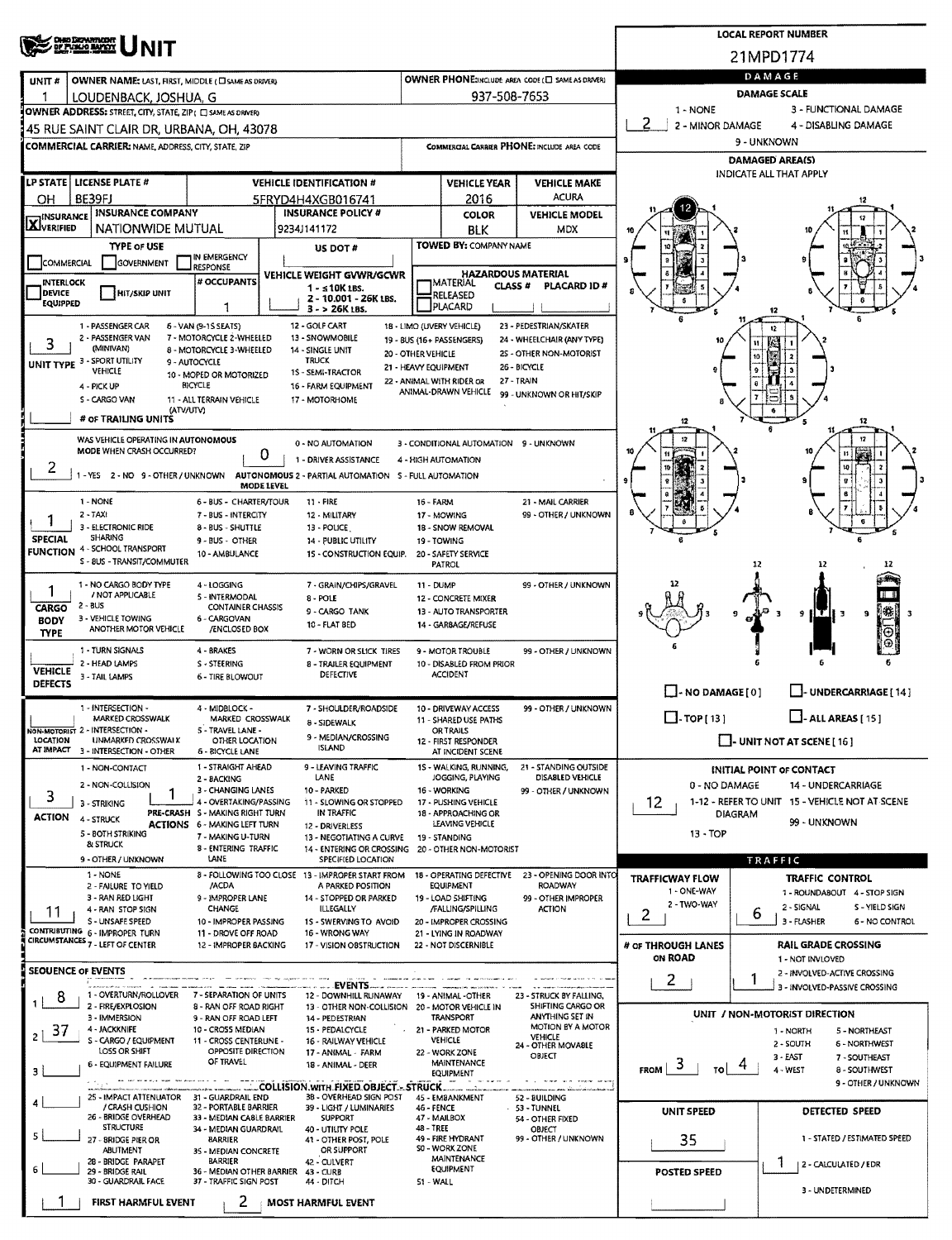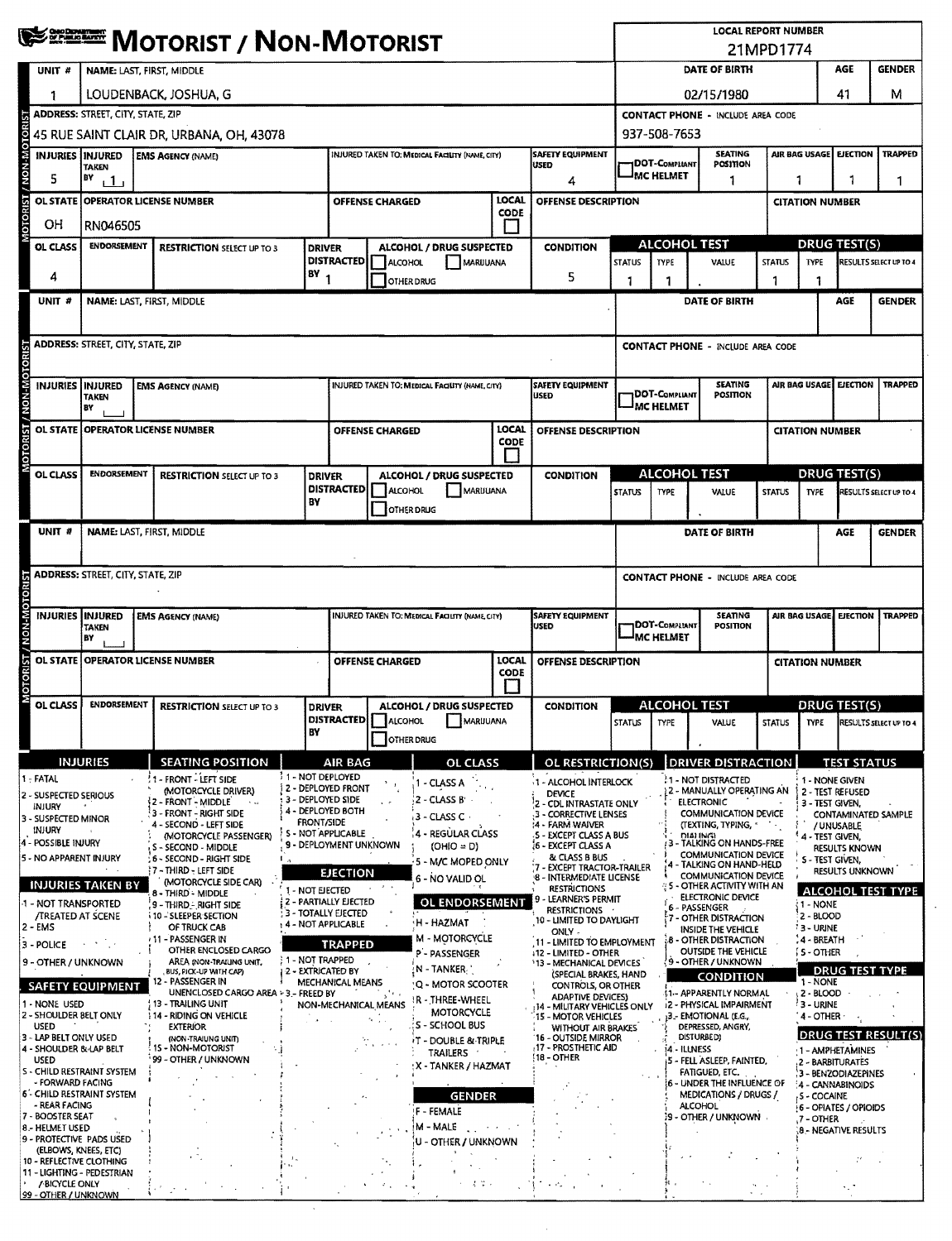|                                                                                               | <b>WEEF MOTORIST / NON-MOTORIST</b>      |             |                                                             |                    |                                                       |                        |                                                              |                                                              | <b>LOCAL REPORT NUMBER</b>                                |                                                        |                             |                                                                           |                 |                                |                                                |                                                  |
|-----------------------------------------------------------------------------------------------|------------------------------------------|-------------|-------------------------------------------------------------|--------------------|-------------------------------------------------------|------------------------|--------------------------------------------------------------|--------------------------------------------------------------|-----------------------------------------------------------|--------------------------------------------------------|-----------------------------|---------------------------------------------------------------------------|-----------------|--------------------------------|------------------------------------------------|--------------------------------------------------|
| UNIT #                                                                                        | NAME: LAST, FIRST, MIDDLE                |             |                                                             |                    |                                                       |                        |                                                              |                                                              |                                                           | 21MPD1774<br>DATE OF BIRTH<br><b>AGE</b>               |                             |                                                                           |                 | <b>GENDER</b>                  |                                                |                                                  |
|                                                                                               | LOUDENBACK, JOSHUA, G                    |             |                                                             |                    |                                                       |                        |                                                              |                                                              |                                                           |                                                        |                             |                                                                           |                 |                                | м                                              |                                                  |
|                                                                                               | <b>ADDRESS: STREET, CITY, STATE, ZIP</b> |             |                                                             |                    |                                                       |                        |                                                              | 41<br>02/15/1980<br><b>CONTACT PHONE - INCLUDE AREA CODE</b> |                                                           |                                                        |                             |                                                                           |                 |                                |                                                |                                                  |
|                                                                                               |                                          |             | 45 RUE SAINT CLAIR DR, URBANA, OH, 43078                    |                    |                                                       |                        |                                                              |                                                              |                                                           |                                                        | 937-508-7653                |                                                                           |                 |                                |                                                |                                                  |
| <b>INJURIES INJURED</b>                                                                       |                                          |             | <b>EMS AGENCY (NAME)</b>                                    |                    |                                                       |                        | INJURED TAKEN TO: MEDICAL FACILITY (NAME, CITY)              |                                                              | <b>SAFETY EQUIPMENT</b>                                   |                                                        |                             | <b>SEATING</b>                                                            |                 |                                | AIR BAG USAGE   EJECTION                       | <b>TRAPPED</b>                                   |
| <b>DIN-NON</b><br>5                                                                           | <b>TAKEN</b><br>BY<br>1 <sub>1</sub>     |             |                                                             |                    |                                                       |                        |                                                              |                                                              | USED<br>4                                                 | <b>IDOT-COMPLIANT</b><br>POSITION<br><b>JMC HELMET</b> |                             | 1                                                                         |                 | 1                              |                                                | 1.                                               |
| <b>OL STATE</b>                                                                               |                                          |             | <b>OPERATOR LICENSE NUMBER</b>                              |                    |                                                       | <b>OFFENSE CHARGED</b> |                                                              | LOCAL                                                        | OFFENSE DESCRIPTION                                       | <b>CITATION NUMBER</b>                                 |                             |                                                                           |                 |                                |                                                |                                                  |
| <b>10TOR</b><br>OH                                                                            | RN046505                                 | <b>CODE</b> |                                                             |                    |                                                       |                        |                                                              |                                                              |                                                           |                                                        |                             |                                                                           |                 |                                |                                                |                                                  |
| OL CLASS                                                                                      | <b>ENDORSEMENT</b>                       |             | <b>RESTRICTION SELECT UP TO 3</b>                           |                    | <b>DRIVER</b>                                         |                        | ALCOHOL / DRUG SUSPECTED                                     |                                                              | <b>CONDITION</b>                                          |                                                        |                             | <b>ALCOHOL TEST</b>                                                       |                 |                                | DRUG TEST(S)                                   |                                                  |
|                                                                                               |                                          |             |                                                             |                    | <b>DISTRACTED</b>                                     | ALCOHOL                | MARUUANA                                                     |                                                              |                                                           | <b>STATUS</b>                                          | <b>TYPE</b>                 | VALUE                                                                     | <b>STATUS</b>   | <b>TYPE</b>                    |                                                | <b>RESULTS SELECT UP TO 4</b>                    |
| 4                                                                                             |                                          |             |                                                             | $BY_1$             |                                                       |                        | <b>OTHER DRUG</b>                                            |                                                              | 5                                                         | 1                                                      |                             |                                                                           |                 |                                |                                                |                                                  |
| UNIT#                                                                                         |                                          |             | NAME: LAST, FIRST, MIDDLE                                   |                    |                                                       |                        |                                                              |                                                              |                                                           |                                                        |                             | DATE OF BIRTH                                                             |                 |                                | AGE                                            | <b>GENDER</b>                                    |
|                                                                                               |                                          |             |                                                             |                    |                                                       |                        |                                                              |                                                              |                                                           |                                                        |                             |                                                                           |                 |                                |                                                |                                                  |
|                                                                                               | <b>ADDRESS: STREET, CITY, STATE, ZIP</b> |             |                                                             |                    |                                                       |                        |                                                              |                                                              |                                                           |                                                        |                             | <b>CONTACT PHONE - INCLUDE AREA CODE</b>                                  |                 |                                |                                                |                                                  |
| INJURIES INJURED                                                                              |                                          |             | <b>EMS AGENCY (NAME)</b>                                    |                    |                                                       |                        | <b>INJURED TAKEN TO: MEDICAL FACILITY (NAME, CITY)</b>       |                                                              | <b>SAFETY EQUIPMENT</b>                                   |                                                        |                             | <b>SEATING</b>                                                            |                 |                                | AIR BAG USAGE EJECTION                         | <b>TRAPPED</b>                                   |
| <b>MON-M</b>                                                                                  | TAKEN<br>BY                              |             |                                                             |                    |                                                       |                        |                                                              |                                                              | USED                                                      |                                                        | DOT-Compliant<br>IMC HELMET |                                                                           | <b>POSITION</b> |                                |                                                |                                                  |
|                                                                                               |                                          |             | OL STATE OPERATOR LICENSE NUMBER                            |                    |                                                       | <b>OFFENSE CHARGED</b> |                                                              | <b>LOCAL</b>                                                 | OFFENSE DESCRIPTION                                       |                                                        |                             |                                                                           |                 | <b>CITATION NUMBER</b>         |                                                |                                                  |
| OTORIST/                                                                                      |                                          |             |                                                             |                    |                                                       |                        |                                                              | CODE                                                         |                                                           |                                                        |                             |                                                                           |                 |                                |                                                |                                                  |
| OL CLASS                                                                                      | <b>ENDORSEMENT</b>                       |             | <b>RESTRICTION SELECT UP TO 3</b>                           |                    | <b>DRIVER</b>                                         |                        | ALCOHOL / DRUG SUSPECTED                                     |                                                              | <b>CONDITION</b>                                          |                                                        |                             | <b>ALCOHOL TEST</b>                                                       |                 |                                | <b>DRUG TEST(S)</b>                            |                                                  |
|                                                                                               |                                          |             |                                                             |                    | <b>DISTRACTED</b>                                     | ALCOHOL                | MARUUANA                                                     |                                                              |                                                           | <b>STATUS</b>                                          | <b>TYPE</b>                 | VALUE                                                                     | <b>STATUS</b>   | <b>TYPE</b>                    |                                                | RESULTS SELECT UP TO 4                           |
|                                                                                               |                                          |             |                                                             | BY                 |                                                       |                        | OTHER DRUG                                                   |                                                              |                                                           |                                                        |                             |                                                                           |                 |                                |                                                |                                                  |
| UNIT #                                                                                        |                                          |             | <b>NAME: LAST, FIRST, MIDDLE</b>                            |                    |                                                       |                        |                                                              |                                                              |                                                           |                                                        |                             | DATE OF BIRTH                                                             |                 |                                | <b>AGE</b>                                     | <b>GENDER</b>                                    |
|                                                                                               |                                          |             |                                                             |                    |                                                       |                        |                                                              |                                                              |                                                           |                                                        |                             |                                                                           |                 |                                |                                                |                                                  |
|                                                                                               | <b>ADDRESS: STREET, CITY, STATE, ZIP</b> |             |                                                             |                    |                                                       |                        |                                                              |                                                              |                                                           |                                                        |                             |                                                                           |                 |                                |                                                |                                                  |
|                                                                                               |                                          |             |                                                             |                    |                                                       |                        |                                                              |                                                              |                                                           |                                                        |                             | <b>CONTACT PHONE - INCLUDE AREA CODE</b>                                  |                 |                                |                                                |                                                  |
|                                                                                               |                                          |             |                                                             |                    |                                                       |                        |                                                              |                                                              |                                                           |                                                        |                             |                                                                           |                 |                                |                                                |                                                  |
| INJURIES INJURED                                                                              | <b>TAKEN</b>                             |             | <b>EMS AGENCY (NAME)</b>                                    |                    |                                                       |                        | <b>INJURED TAKEN TO: MEDICAL FACILITY (NAME CITY)</b>        |                                                              | <b>SAFETY EQUIPMENT</b><br>lused                          |                                                        | DOT-COMPLIANT               | <b>SEATING</b><br><b>POSITION</b>                                         |                 |                                | AIR BAG USAGE   EJECTION                       |                                                  |
| <b>NON-MOTOR</b>                                                                              | BY                                       |             |                                                             |                    |                                                       |                        |                                                              |                                                              |                                                           |                                                        | MC HELMET                   |                                                                           |                 |                                |                                                |                                                  |
| <b>OL STATE</b>                                                                               |                                          |             | <b>OPERATOR LICENSE NUMBER</b>                              |                    |                                                       | <b>OFFENSE CHARGED</b> |                                                              | <b>LOCAL</b><br><b>CODE</b>                                  | OFFENSE DESCRIPTION                                       |                                                        |                             |                                                                           |                 | <b>CITATION NUMBER</b>         |                                                |                                                  |
| <b>MOTORIST</b>                                                                               |                                          |             |                                                             |                    |                                                       |                        |                                                              |                                                              |                                                           |                                                        |                             |                                                                           |                 |                                |                                                | <b>TRAPPED</b>                                   |
| OL CLASS                                                                                      | <b>ENDORSEMENT</b>                       |             | <b>RESTRICTION SELECT UP TO 3</b>                           |                    | <b>DRIVER</b>                                         |                        | ALCOHOL / DRUG SUSPECTED<br>DISTRACTED   ALCOHOL   MARIJUANA |                                                              | <b>CONDITION</b>                                          |                                                        |                             | <b>ALCOHOL TEST</b><br>STATUS TYPE VALUE STATUS TYPE RESULTS SELECT UP TO |                 |                                | DRUG TEST(S)                                   |                                                  |
|                                                                                               |                                          |             |                                                             | BY                 |                                                       |                        | OTHER DRUG                                                   |                                                              |                                                           |                                                        |                             |                                                                           |                 |                                |                                                |                                                  |
|                                                                                               | <b>INJURIES</b>                          |             | <b>SEATING POSITION</b>                                     |                    | <b>AIR BAG</b>                                        |                        | <b>OL CLASS</b>                                              |                                                              | OL RESTRICTION(S)                                         |                                                        |                             | <b>DRIVER DISTRACTION</b>                                                 |                 |                                | <b>TEST STATUS</b>                             |                                                  |
| 1 - FATAL                                                                                     |                                          |             | 1 - FRONT - LEFT SIDE<br>(MOTORCYCLE DRIVER)                | 11 - NOT DEPLOYED  | i 2 - Deployed front                                  |                        | - CLASS A                                                    |                                                              | 1 - ALCOHOL INTERLOCK                                     |                                                        |                             | <b>1- NOT DISTRACTED</b><br>2 - MANUALLY OPERATING AN                     |                 |                                | 1 - NONE GIVEN<br>2 - TEST REFUSED             |                                                  |
| INJURY                                                                                        |                                          |             | 2 - FRONT - MIDDLE<br>$\epsilon_{\rm{max}}$                 | 3 - DEPLOYED SIDE  | 4 - DEPLOYED BOTH                                     |                        | 2 - CLASS B'                                                 |                                                              | <b>DEVICE</b><br>2 - CDL INTRASTATE ONLY                  |                                                        |                             | <b>ELECTRONIC</b>                                                         |                 |                                | 3 - TEST GIVEN.                                |                                                  |
|                                                                                               |                                          |             | - FRONT - RIGHT SIDE<br>- SECOND - LEFT SIDE                | <b>FRONT/SIDE</b>  |                                                       |                        | 3 - CLASS C                                                  |                                                              | 3 - CORRECTIVE LENSES<br><b>4 - FARM WAIVER</b>           |                                                        |                             | COMMUNICATION DEVICE<br>(TEXTING, TYPING, *                               |                 |                                | / UNUSABLE                                     | CONTAMINATED SAMPLE                              |
| INJURY                                                                                        |                                          |             | (MOTORCYCLE PASSENGER)                                      |                    | 5 - NOT APPLICABLE<br>9 - DEPLOYMENT UNKNOWN          |                        | 4 - REGULAR CLASS                                            |                                                              | <b>5 - EXCEPT CLASS A BUS</b><br>16 - EXCEPT CLASS A      |                                                        |                             | DIAI INGI<br>3 - TALKING ON HANDS-FREE                                    |                 |                                | 4 - TEST GIVEN,                                |                                                  |
| 2 - SUSPECTED SERIOUS<br>3 - SUSPECTED MINOR<br>4 - POSSIBLE INJURY<br>5 - NO APPARENT INJURY |                                          |             | S - SECOND - MIDDLE<br>6 - SECOND - RIGHT SIDE              |                    |                                                       |                        | $(OHIO = D)$<br>5 - M/C MOPED ONLY                           |                                                              | & CLASS B BUS                                             |                                                        |                             | COMMUNICATION DEVICE                                                      |                 |                                | <b>RESULTS KNOWN</b><br><b>S - TEST GIVEN.</b> |                                                  |
|                                                                                               |                                          |             | ? 7 - THIRD - LEFT SIDE                                     |                    | <b>EJECTION</b>                                       |                        | 6 - NO VALID OL                                              |                                                              | EXCEPT TRACTOR-TRAILER<br>8 - INTERMEDIATE LICENSE        |                                                        |                             | 4 - TALKING ON HAND-HELD<br>COMMUNICATION DEVICE                          |                 |                                | <b>RESULTS UNKNOWN</b>                         |                                                  |
|                                                                                               | <b>INJURIES TAKEN BY</b>                 |             | (MOTORCYCLE SIDE CAR)<br>8 - THIRD - MIDDLE                 | 1 - NOT EJECTED    |                                                       |                        |                                                              |                                                              | <b>RESTRICTIONS</b><br>· LEARNER'S PERMIT                 |                                                        |                             | <b>SI-OTHER ACTIVITY WITH AN</b><br>ELECTRONIC DEVICE                     |                 |                                |                                                |                                                  |
| <b>/TREATED AT SCENE</b>                                                                      |                                          |             | 9 - Third - Right Side<br><b>10 - SLEEPER SECTION</b>       |                    | <b>2 - PARTIALLY EJECTED</b><br>: 3 - TOTALLY EJECTED |                        | OL ENDORSEMENT                                               |                                                              | <b>RESTRICTIONS</b>                                       |                                                        |                             | 6 - PASSENGER                                                             |                 | रे 1 - NONE<br>2 - BLOOD       |                                                |                                                  |
| -1 - NOT TRANSPORTED<br>2 - EMS                                                               |                                          |             | OF TRUCK CAB                                                | 4 - NOT APPLICABLE |                                                       |                        | H - HAZMAT                                                   |                                                              | 10 - LIMITED TO DAYLIGHT<br>ONLY -                        |                                                        |                             | 7 - OTHER DISTRACTION<br>INSIDE THE VEHICLE                               |                 | <b>13 - URINE</b>              |                                                |                                                  |
|                                                                                               | <b>SALE ROLL</b>                         |             | <b>11-PASSENGER IN</b><br>OTHER ENCLOSED CARGO              |                    | <b>TRAPPED</b>                                        |                        | M - MOTORCYCLE                                               |                                                              | 11 - LIMITED TO EMPLOYMENT                                |                                                        |                             | 8 - OTHER DISTRACTION<br>OUTSIDE THE VEHICLE                              |                 | : 4 - BREATH<br>í 5 - OTHER    |                                                |                                                  |
| 3 - POLICE<br>9 - OTHER / UNKNOWN                                                             |                                          |             | AREA (NON-TRAILING UNIT,                                    | 1 - NOT TRAPPED    |                                                       |                        | P - PASSENGER<br>≀N - TANKER '                               |                                                              | +12 - LIMITED - OTHER<br>13 - MECHANICAL DEVICES          |                                                        |                             | 9 - OTHER / UNKNOWN                                                       |                 |                                |                                                |                                                  |
|                                                                                               | <b>SAFETY EQUIPMENT</b>                  |             | BUS, PICK-UP WITH CAP)<br>12 - PASSENGER IN                 | 2 - EXTRICATED BY  | MECHANICAL MEANS                                      |                        | 'Q - MOTOR SCOOTER                                           |                                                              | (SPECIAL BRAKES, HAND<br>CONTROLS, OR OTHER               |                                                        |                             | <b>CONDITION</b>                                                          |                 | 1 - NONE                       | <b>DRUG TEST TYPE</b>                          |                                                  |
| 1 - NONE USED                                                                                 |                                          |             | UNENCLOSED CARGO AREA + 3 .- FREED BY<br>13 - TRAILING UNIT |                    |                                                       |                        | IR - THREE-WHEEL                                             |                                                              | <b>ADAPTIVE DEVICES)</b>                                  |                                                        |                             | <b>IT-APPARENTLY NORMAL</b>                                               |                 | 12 - BLOOD                     |                                                |                                                  |
| 2 - SHOULDER BELT ONLY                                                                        |                                          |             | 14 - RIDING ON VEHICLE                                      |                    | NON-MECHANICAL MEANS                                  |                        | <b>MOTORCYCLE</b>                                            |                                                              | 14 - MILITARY VEHICLES ONLY<br><b>15 - MOTOR VEHICLES</b> |                                                        |                             | <b>i2 - PHYSICAL IMPAIRMENT</b><br>13 .- EMOTIONAL (E.G.,                 |                 | ! 3 - URINE<br>$4$ - other $4$ |                                                |                                                  |
| <b>USED</b><br>3 - LAP BELT ONLY USED                                                         |                                          |             | <b>EXTERIOR</b><br>(NON-TRAIUNG UNIT)                       |                    |                                                       |                        | : S - SCHOOL BUS                                             |                                                              | WITHOUT AIR BRAKES<br>16 - OUTSIDE MIRROR                 |                                                        |                             | DEPRESSED, ANGRY,<br>DISTURBED)                                           |                 |                                |                                                |                                                  |
| 4 - SHOULDER & LAP BELT                                                                       |                                          |             | 15 - NON-MOTORIST                                           |                    |                                                       |                        | IT - DOUBLE & TRIPLE<br>TRAILERS                             |                                                              | 17 - PROSTHETIC AID                                       |                                                        |                             | i4 - ILLNESS                                                              |                 |                                | 1 - AMPHETAMINES                               |                                                  |
| <b>USED</b>                                                                                   | S - CHILD RESTRAINT SYSTEM               |             | 99 - OTHER / UNKNOWN                                        |                    |                                                       |                        | : X - TANKER / HAZMAT                                        |                                                              | 18 - OTHER                                                |                                                        |                             | 5 - FELL ASLEEP, FAINTED,<br>FATIGUED, ETC.                               |                 |                                | 2 - BARBITURATES                               |                                                  |
| <b>FORWARD FACING</b>                                                                         |                                          |             |                                                             |                    |                                                       |                        |                                                              |                                                              |                                                           |                                                        |                             | 6 - UNDER THE INFLUENCE OF                                                |                 |                                | 3 - BENZODIAZEPINES<br>4 - CANNABINOIDS        |                                                  |
| - REAR FACING                                                                                 | 6 - CHILD RESTRAINT SYSTEM               |             |                                                             |                    |                                                       |                        | <b>GENDER</b>                                                |                                                              |                                                           |                                                        |                             | MEDICATIONS / DRUGS /<br><b>ALCOHOL</b>                                   |                 | 5 - COCAINE                    |                                                |                                                  |
| 7 - BOOSTER SEAT                                                                              |                                          |             |                                                             |                    |                                                       |                        | F - FEMALE                                                   |                                                              |                                                           |                                                        |                             | :9 - OTHER / UNKNOWN -                                                    |                 | ,7 – OTHER                     | 6 - OPIATES / OPIOIDS                          |                                                  |
| 8 .- HELMET USED                                                                              | 9 - PROTECTIVE PADS USED                 |             |                                                             |                    |                                                       |                        | M - MALE                                                     |                                                              |                                                           |                                                        |                             |                                                                           |                 |                                | <b>8 - NEGATIVE RESULTS</b>                    |                                                  |
| (ELBOWS, KNEES, ETC)                                                                          |                                          |             |                                                             |                    |                                                       |                        | U - OTHER / UNKNOWN                                          |                                                              |                                                           |                                                        |                             |                                                                           |                 |                                |                                                |                                                  |
| 10 - REFLECTIVE CLOTHING                                                                      | 11 - LIGHTING - PEDESTRIAN               |             |                                                             |                    |                                                       |                        |                                                              |                                                              |                                                           |                                                        |                             |                                                                           |                 |                                |                                                | <b>ALCOHOL TEST TYPE</b><br> DRUG TEST RESULT(S) |

 $\epsilon_{\rm c}$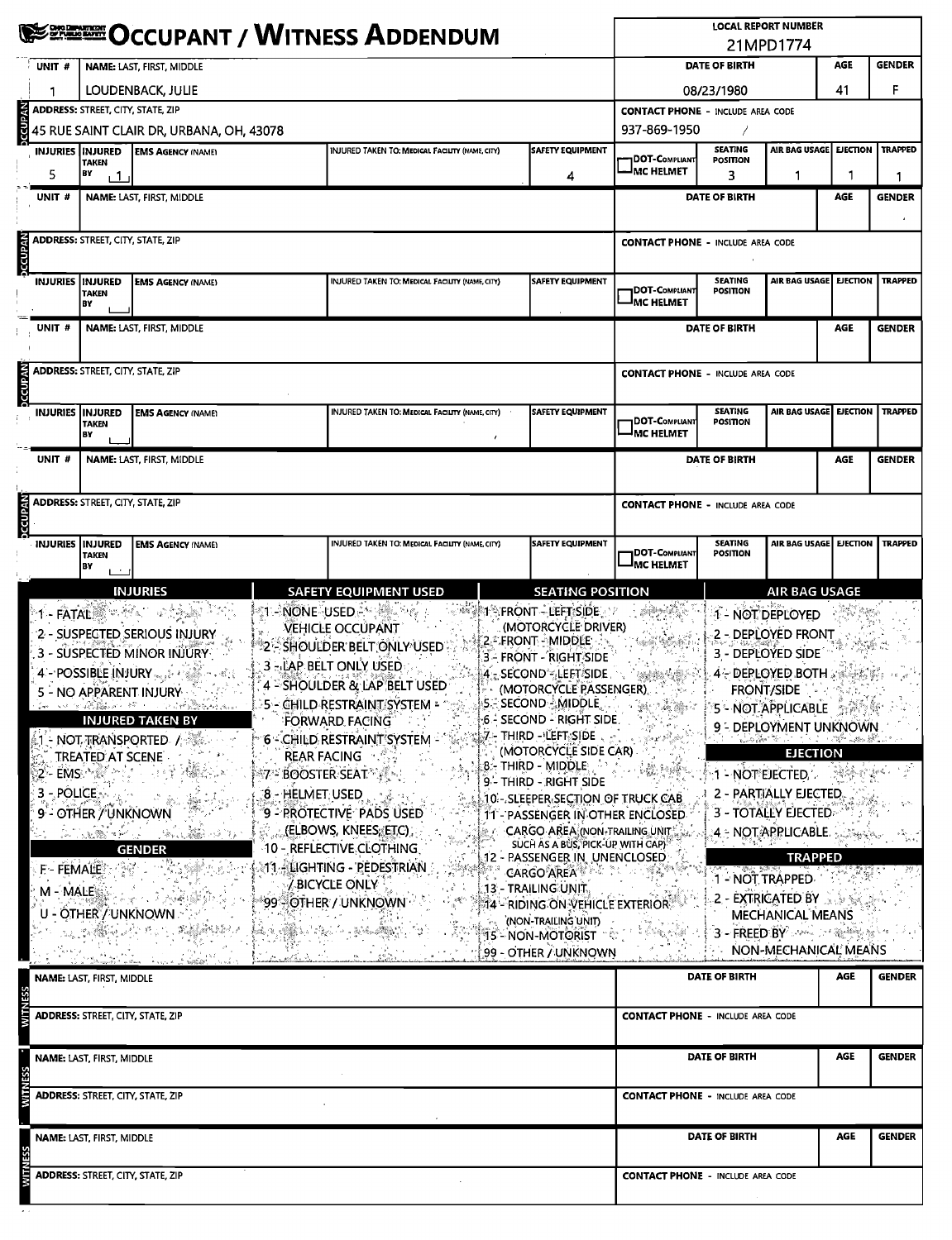|                           | <b>Company (September)</b><br>Occupant / Witness Addendum               |                                                                                                                                                                                                                                                                                                                                                                                                                                                                                                                            |                                          |                                                                                                                                                                                                                                                                                                                                                                                                                                                                       |   |                                                                                                                                                                                                                                                                                                                                                                                                                                                                                                                                                                                                                                                                                             | <b>LOCAL REPORT NUMBER</b><br>21MPD1774    |                                          |                                                                                                                                                                                                                                                                                                                                                                                                                                                             |                 |                |  |  |
|---------------------------|-------------------------------------------------------------------------|----------------------------------------------------------------------------------------------------------------------------------------------------------------------------------------------------------------------------------------------------------------------------------------------------------------------------------------------------------------------------------------------------------------------------------------------------------------------------------------------------------------------------|------------------------------------------|-----------------------------------------------------------------------------------------------------------------------------------------------------------------------------------------------------------------------------------------------------------------------------------------------------------------------------------------------------------------------------------------------------------------------------------------------------------------------|---|---------------------------------------------------------------------------------------------------------------------------------------------------------------------------------------------------------------------------------------------------------------------------------------------------------------------------------------------------------------------------------------------------------------------------------------------------------------------------------------------------------------------------------------------------------------------------------------------------------------------------------------------------------------------------------------------|--------------------------------------------|------------------------------------------|-------------------------------------------------------------------------------------------------------------------------------------------------------------------------------------------------------------------------------------------------------------------------------------------------------------------------------------------------------------------------------------------------------------------------------------------------------------|-----------------|----------------|--|--|
| UNIT#                     |                                                                         | NAME: LAST, FIRST, MIDDLE                                                                                                                                                                                                                                                                                                                                                                                                                                                                                                  | DATE OF BIRTH<br>AGE                     |                                                                                                                                                                                                                                                                                                                                                                                                                                                                       |   |                                                                                                                                                                                                                                                                                                                                                                                                                                                                                                                                                                                                                                                                                             | <b>GENDER</b>                              |                                          |                                                                                                                                                                                                                                                                                                                                                                                                                                                             |                 |                |  |  |
| 1                         |                                                                         | LOUDENBACK, JULIE                                                                                                                                                                                                                                                                                                                                                                                                                                                                                                          |                                          | 41                                                                                                                                                                                                                                                                                                                                                                                                                                                                    | F |                                                                                                                                                                                                                                                                                                                                                                                                                                                                                                                                                                                                                                                                                             |                                            |                                          |                                                                                                                                                                                                                                                                                                                                                                                                                                                             |                 |                |  |  |
|                           | <b>ADDRESS: STREET, CITY, STATE, ZIP</b>                                |                                                                                                                                                                                                                                                                                                                                                                                                                                                                                                                            |                                          | 08/23/1980<br><b>CONTACT PHONE - INCLUDE AREA CODE</b>                                                                                                                                                                                                                                                                                                                                                                                                                |   |                                                                                                                                                                                                                                                                                                                                                                                                                                                                                                                                                                                                                                                                                             |                                            |                                          |                                                                                                                                                                                                                                                                                                                                                                                                                                                             |                 |                |  |  |
| <b>NV40DOC</b>            |                                                                         | 45 RUE SAINT CLAIR DR, URBANA, OH, 43078                                                                                                                                                                                                                                                                                                                                                                                                                                                                                   |                                          |                                                                                                                                                                                                                                                                                                                                                                                                                                                                       |   |                                                                                                                                                                                                                                                                                                                                                                                                                                                                                                                                                                                                                                                                                             | 937-869-1950                               |                                          |                                                                                                                                                                                                                                                                                                                                                                                                                                                             |                 |                |  |  |
|                           | <b>INJURIES INJURED</b>                                                 | <b>EMS AGENCY (NAME)</b>                                                                                                                                                                                                                                                                                                                                                                                                                                                                                                   |                                          | <b>INJURED TAKEN TO: MEDICAL FACILITY (NAME, CITY)</b>                                                                                                                                                                                                                                                                                                                                                                                                                |   | <b>SAFETY EQUIPMENT</b>                                                                                                                                                                                                                                                                                                                                                                                                                                                                                                                                                                                                                                                                     | 1DOT-Compliant                             | <b>SEATING</b><br><b>POSITION</b>        | AIR BAG USAGE                                                                                                                                                                                                                                                                                                                                                                                                                                               | <b>EJECTION</b> | <b>TRAPPED</b> |  |  |
| 5                         | <b>TAKEN</b><br>BY<br>$\mathbf{1}$                                      |                                                                                                                                                                                                                                                                                                                                                                                                                                                                                                                            |                                          |                                                                                                                                                                                                                                                                                                                                                                                                                                                                       |   | 4                                                                                                                                                                                                                                                                                                                                                                                                                                                                                                                                                                                                                                                                                           | <b>IMC HELMET</b>                          | 3                                        | 1                                                                                                                                                                                                                                                                                                                                                                                                                                                           | 1               |                |  |  |
| UNIT#                     |                                                                         | NAME: LAST, FIRST, MIDDLE                                                                                                                                                                                                                                                                                                                                                                                                                                                                                                  |                                          |                                                                                                                                                                                                                                                                                                                                                                                                                                                                       |   |                                                                                                                                                                                                                                                                                                                                                                                                                                                                                                                                                                                                                                                                                             |                                            | <b>DATE OF BIRTH</b>                     |                                                                                                                                                                                                                                                                                                                                                                                                                                                             | AGE             | <b>GENDER</b>  |  |  |
|                           |                                                                         |                                                                                                                                                                                                                                                                                                                                                                                                                                                                                                                            |                                          |                                                                                                                                                                                                                                                                                                                                                                                                                                                                       |   |                                                                                                                                                                                                                                                                                                                                                                                                                                                                                                                                                                                                                                                                                             |                                            |                                          |                                                                                                                                                                                                                                                                                                                                                                                                                                                             |                 |                |  |  |
|                           | <b>ADDRESS: STREET, CITY, STATE, ZIP</b>                                |                                                                                                                                                                                                                                                                                                                                                                                                                                                                                                                            |                                          |                                                                                                                                                                                                                                                                                                                                                                                                                                                                       |   |                                                                                                                                                                                                                                                                                                                                                                                                                                                                                                                                                                                                                                                                                             |                                            | <b>CONTACT PHONE - INCLUDE AREA CODE</b> |                                                                                                                                                                                                                                                                                                                                                                                                                                                             |                 |                |  |  |
|                           | INJURIES   INJURED<br><b>TAKEN</b><br>BY                                | SAFETY EQUIPMENT<br><b>INJURED TAKEN TO: MEDICAL FACILITY (NAME, CITY)</b><br><b>EMS AGENCY (NAME)</b>                                                                                                                                                                                                                                                                                                                                                                                                                     |                                          |                                                                                                                                                                                                                                                                                                                                                                                                                                                                       |   |                                                                                                                                                                                                                                                                                                                                                                                                                                                                                                                                                                                                                                                                                             | <b>DOT-C</b> ompliant<br><b>IMC HELMET</b> | <b>SEATING</b><br><b>POSITION</b>        | AIR BAG USAGE   EJECTION                                                                                                                                                                                                                                                                                                                                                                                                                                    |                 | <b>TRAPPED</b> |  |  |
| UNIT #                    |                                                                         | NAME: LAST, FIRST, MIDDLE                                                                                                                                                                                                                                                                                                                                                                                                                                                                                                  |                                          |                                                                                                                                                                                                                                                                                                                                                                                                                                                                       |   |                                                                                                                                                                                                                                                                                                                                                                                                                                                                                                                                                                                                                                                                                             | <b>DATE OF BIRTH</b>                       |                                          |                                                                                                                                                                                                                                                                                                                                                                                                                                                             | AGE             | <b>GENDER</b>  |  |  |
| VdinDOC                   | ADDRESS: STREET, CITY, STATE, ZIP                                       |                                                                                                                                                                                                                                                                                                                                                                                                                                                                                                                            |                                          |                                                                                                                                                                                                                                                                                                                                                                                                                                                                       |   |                                                                                                                                                                                                                                                                                                                                                                                                                                                                                                                                                                                                                                                                                             | <b>CONTACT PHONE - INCLUDE AREA CODE</b>   |                                          |                                                                                                                                                                                                                                                                                                                                                                                                                                                             |                 |                |  |  |
|                           |                                                                         |                                                                                                                                                                                                                                                                                                                                                                                                                                                                                                                            |                                          |                                                                                                                                                                                                                                                                                                                                                                                                                                                                       |   | <b>SAFETY EQUIPMENT</b>                                                                                                                                                                                                                                                                                                                                                                                                                                                                                                                                                                                                                                                                     |                                            | <b>SEATING</b>                           | AIR BAG USAGE                                                                                                                                                                                                                                                                                                                                                                                                                                               |                 | <b>TRAPPED</b> |  |  |
|                           | INJURIES   INJURED<br><b>TAKEN</b><br>BY                                | <b>EMS AGENCY (NAME)</b>                                                                                                                                                                                                                                                                                                                                                                                                                                                                                                   |                                          | <b>INJURED TAKEN TO: MEDICAL FACILITY (NAME, CITY)</b>                                                                                                                                                                                                                                                                                                                                                                                                                |   |                                                                                                                                                                                                                                                                                                                                                                                                                                                                                                                                                                                                                                                                                             | DOT-COMPLIANT<br><b>MC HELMET</b>          | <b>POSITION</b>                          |                                                                                                                                                                                                                                                                                                                                                                                                                                                             | <b>EJECTION</b> |                |  |  |
| UNIT#                     |                                                                         | NAME: LAST, FIRST, MIDDLE                                                                                                                                                                                                                                                                                                                                                                                                                                                                                                  |                                          |                                                                                                                                                                                                                                                                                                                                                                                                                                                                       |   |                                                                                                                                                                                                                                                                                                                                                                                                                                                                                                                                                                                                                                                                                             | DATE OF BIRTH                              |                                          |                                                                                                                                                                                                                                                                                                                                                                                                                                                             | AGE             | <b>GENDER</b>  |  |  |
| <b>DECUPAN</b>            | <b>ADDRESS: STREET, CITY, STATE, ZIP</b>                                |                                                                                                                                                                                                                                                                                                                                                                                                                                                                                                                            | <b>CONTACT PHONE - INCLUDE AREA CODE</b> |                                                                                                                                                                                                                                                                                                                                                                                                                                                                       |   |                                                                                                                                                                                                                                                                                                                                                                                                                                                                                                                                                                                                                                                                                             |                                            |                                          |                                                                                                                                                                                                                                                                                                                                                                                                                                                             |                 |                |  |  |
|                           | INJURIES   INJURED<br><b>TAKEN</b><br> BY                               | <b>EMS AGENCY (NAME)</b><br>INJURED TAKEN TO: MEDICAL FACILITY (NAME, CITY)                                                                                                                                                                                                                                                                                                                                                                                                                                                |                                          |                                                                                                                                                                                                                                                                                                                                                                                                                                                                       |   | <b>SAFETY EQUIPMENT</b>                                                                                                                                                                                                                                                                                                                                                                                                                                                                                                                                                                                                                                                                     | DOT-Compliant<br><sup>I</sup> MC HELMET    | <b>SEATING</b><br><b>POSITION</b>        | AIR BAG USAGE   EJECTION                                                                                                                                                                                                                                                                                                                                                                                                                                    |                 | <b>TRAPPED</b> |  |  |
|                           |                                                                         | <b>INJURIES</b>                                                                                                                                                                                                                                                                                                                                                                                                                                                                                                            |                                          | <b>SAFETY EQUIPMENT USED</b>                                                                                                                                                                                                                                                                                                                                                                                                                                          |   | <b>SEATING POSITION</b>                                                                                                                                                                                                                                                                                                                                                                                                                                                                                                                                                                                                                                                                     |                                            |                                          | <b>AIR BAG USAGE</b>                                                                                                                                                                                                                                                                                                                                                                                                                                        |                 |                |  |  |
| 3 - POLICE SA<br>M - MALE | <b>TREATED AT SCENE</b><br>9 <sup>3</sup> OTHER / UNKNOWN<br>F - FEMALE | 2 - Suspected Serious Injury<br>- SUSPECTED MINOR INJURY<br>$4 -$ POSSIBLE (NJURY $\frac{1}{2}$ ) $\frac{1}{2}$ $\frac{1}{2}$ $\frac{1}{2}$ $\frac{1}{2}$ $\frac{1}{2}$ $\frac{1}{2}$ $\frac{1}{2}$ $\frac{1}{2}$ $\frac{1}{2}$ $\frac{1}{2}$ $\frac{1}{2}$ $\frac{1}{2}$ $\frac{1}{2}$ $\frac{1}{2}$ $\frac{1}{2}$ $\frac{1}{2}$ $\frac{1}{2}$ $\frac{1}{2}$ $\frac{1}{2}$<br>- NO APPARENT INJURY<br>A STAR BALLARD CONTROLLAND<br><b>INJURED TAKEN BY</b><br>2 EMS - 《스토르 모글 세요<br><b>GENDER</b><br>U - OTHER / UNKNOWN | 8 - HELMET USED<br>a shakar              | VEHICLE OCCUPANT<br><b>"2 SHOULDER BELT ONLY USED</b><br>3 FILAP BELT ONLY USED.<br>4 SHOULDER & LAP BELT USED<br>5 - CHILD RESTRAINT SYSTEM -<br>FORWARD FACING<br>6 - CHILD RESTRAINT SYSTEM -<br><b>REAR FACING</b><br><b><i>N7" BOOSTER SEAT" ALL</i></b><br>9 - Protective "Pads Used"<br>(ELBOWS, KNEES, ETC)<br>10 - REFLECTIVE CLOTHING.<br>11. LIGHTING - PEDESTRIAN<br>$\mathcal J$ bicycle only $\frac{1}{2}$<br>99 - OTHER / UNKNOWN<br>A SAN PART - RAPA |   | (MOTORCYCLE DRIVER)<br>-≩{2,≛.FRONT - MIDDLE<br>3 - FRONT - RIGHT SIDE<br>$4$ - Second - Left side .<br>$\sim$ (motorcycle passenger), $\sim$<br>l5≑ SECOND AMIDDLE,<br><b>6 - SECOND - RIGHT SIDE</b><br>$\pm 7$ . THIRD - LEFT SIDE $\sim$ , $\sim$ , $\sim$ , $\sim$ , $\sim$<br>(MOTORCYCLE SIDE CAR)<br>9 - THIRD - RIGHT SIDE<br>10-SLEEPER SECTION OF TRUCK CAB<br>T1 - PASSENGER IN OTHER ENCLOSED.<br><b>EXECARGO AREA (NON-TRAILING UNIT)</b><br>SUCH AS A BUS, PICK-UP WITH CAPY<br>12 - PASSENGER IN UNENCLOSED<br><b>CARGO AREA</b><br>.13 - TRAILING UNIT.<br>া4 - RIDING ON VEHICLE EXTERIOR "<br>(NON-TRAILING UNIT)<br>$\P5$ - NON-MOTORIST $^+$ .<br>99 - OTHER / UNKNOWN | <b>Jakoba Maria</b>                        |                                          | -2 - DEPLOYED FRONT<br>3 - DEPLOYED SIDE<br>4~DEPLOYED BOTH / 《美好<br><b>FRONT/SIDE</b><br>5 - NOT APPLICABLE STAR<br>9 - DEPLOYMENT UNKNOWN<br><b>EJECTION</b><br>H - NOT EJECTED A - 1999<br>2 - PARTIALLY EJECTED.<br><b>3 - TOTALLY EJECTED: "</b><br>4 - NOT APPLICABLE. A Starting<br><b>TRAPPED</b><br>1 - NOT TRAPPED<br>2 - EXTRICATED BY A SAN A<br>MECHANICAL MEANS<br>$3$ - FREED BY and a serious set of $\mathbb{R}^n$<br>NON-MECHANICAL MEANS |                 |                |  |  |
|                           | NAME: LAST, FIRST, MIDDLE                                               |                                                                                                                                                                                                                                                                                                                                                                                                                                                                                                                            |                                          |                                                                                                                                                                                                                                                                                                                                                                                                                                                                       |   |                                                                                                                                                                                                                                                                                                                                                                                                                                                                                                                                                                                                                                                                                             |                                            | DATE OF BIRTH                            |                                                                                                                                                                                                                                                                                                                                                                                                                                                             | AGE             | <b>GENDER</b>  |  |  |
|                           | <b>ADDRESS: STREET, CITY, STATE, ZIP</b>                                |                                                                                                                                                                                                                                                                                                                                                                                                                                                                                                                            |                                          |                                                                                                                                                                                                                                                                                                                                                                                                                                                                       |   |                                                                                                                                                                                                                                                                                                                                                                                                                                                                                                                                                                                                                                                                                             | <b>CONTACT PHONE - INCLUDE AREA CODE</b>   |                                          |                                                                                                                                                                                                                                                                                                                                                                                                                                                             |                 |                |  |  |
|                           | NAME: LAST, FIRST, MIDDLE                                               |                                                                                                                                                                                                                                                                                                                                                                                                                                                                                                                            |                                          |                                                                                                                                                                                                                                                                                                                                                                                                                                                                       |   |                                                                                                                                                                                                                                                                                                                                                                                                                                                                                                                                                                                                                                                                                             |                                            |                                          | <b>AGE</b><br>DATE OF BIRTH                                                                                                                                                                                                                                                                                                                                                                                                                                 |                 |                |  |  |
|                           | <b>ADDRESS: STREET, CITY, STATE, ZIP</b>                                |                                                                                                                                                                                                                                                                                                                                                                                                                                                                                                                            |                                          |                                                                                                                                                                                                                                                                                                                                                                                                                                                                       |   |                                                                                                                                                                                                                                                                                                                                                                                                                                                                                                                                                                                                                                                                                             |                                            | <b>CONTACT PHONE - INCLUDE AREA CODE</b> |                                                                                                                                                                                                                                                                                                                                                                                                                                                             |                 |                |  |  |
|                           | <b>NAME: LAST, FIRST, MIDDLE</b>                                        |                                                                                                                                                                                                                                                                                                                                                                                                                                                                                                                            |                                          |                                                                                                                                                                                                                                                                                                                                                                                                                                                                       |   |                                                                                                                                                                                                                                                                                                                                                                                                                                                                                                                                                                                                                                                                                             |                                            | <b>DATE OF BIRTH</b><br><b>AGE</b>       |                                                                                                                                                                                                                                                                                                                                                                                                                                                             |                 | <b>GENDER</b>  |  |  |
|                           | <b>ADDRESS: STREET, CITY, STATE, ZIP</b>                                |                                                                                                                                                                                                                                                                                                                                                                                                                                                                                                                            |                                          |                                                                                                                                                                                                                                                                                                                                                                                                                                                                       |   |                                                                                                                                                                                                                                                                                                                                                                                                                                                                                                                                                                                                                                                                                             |                                            | <b>CONTACT PHONE - INCLUDE AREA CODE</b> |                                                                                                                                                                                                                                                                                                                                                                                                                                                             |                 |                |  |  |

79